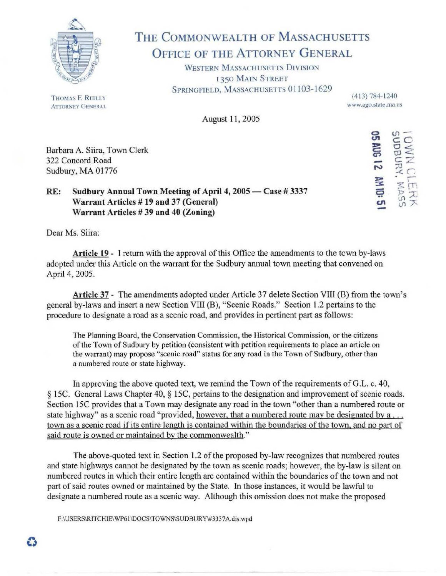

# THE COMMONWEALTH OF MASSACHUSETTS OFFICE OF THE ATTORNEY GENERAL

WESTERN MASSACHUSETTS DIVISION I 350 MAIN STREET SPRINGFIELD, MASSACHUSETTS 01103-1629

(413) 784- 1240 www.ago.state.ma.us

 $920$ 

WN CI<br>DBURY.<br>RUG 12

IFLS 3<br>15 2<br>10: 0

~

<u>ت</u><br>=

-I

August 11, 2005

Barbara A. Siira, Town Clerk 322 Concord Road Sudbury, MA 01776

## RE: Sudbury Annual Town Meeting of April 4, 2005 — Case # 3337 Warrant Articles #19 and 37 (General) Warrant Articles  $#39$  and  $40$  (Zoning)

Dear Ms. Siira:

Article 19 - I return with the approval of this Office the amendments to the town by-laws adopted under this Article on the warrant for the Sudbury annual town meeting that convened on April 4, 2005.

Article 37 - The amendments adopted under Article 37 delete Section VIII (B) from the town's general by-laws and insert a new Section VIII (B), "Scenic Roads." Section 1.2 pertains to the procedure to designate a road as a scenic road, and provides in pertinent part as follows:

The Planning Board, the Conservation Commission, the Historical Commission, or the citizens of the Town of Sudbury by petition (consistent with petition requirements to place an article on the warrant) may propose "scenic road" status for any road in the Town of Sudbury, other than a numbered route or state highway.

In approving the above quoted text, we remind the Town of the requirements of G.L. c. 40, § 15C. General Laws Chapter 40, § 15C, pertains to the designation and improvement of scenic roads. Section 15C provides that a Town may designate any road in the town "other than a numbered route or state highway" as a scenic road "provided, however, that a numbered route may be designated by a ... town as a scenic road if its entire length is contained within the boundaries of the town, and no part of said route is owned or maintained by the commonwealth."

The above-quoted text in Section 1.2 of the proposed by-law recognizes that numbered routes and state highways cannot be designated by the town as scenic roads; however, the by-law is silent on numbered routes in which their entire length are contained within the boundaries of the town and not part of said routes owned or maintained by the State. In those instances, it would be lawful to designate a numbered route as a scenic way. Although this omission does not make the proposed

F:\USERS\RITCHIE\WP61\DOCS\TOWNS\SUDBURY\#3337A.dis.wpd

THOMAS F. REILLY ATTORNEY GENERAL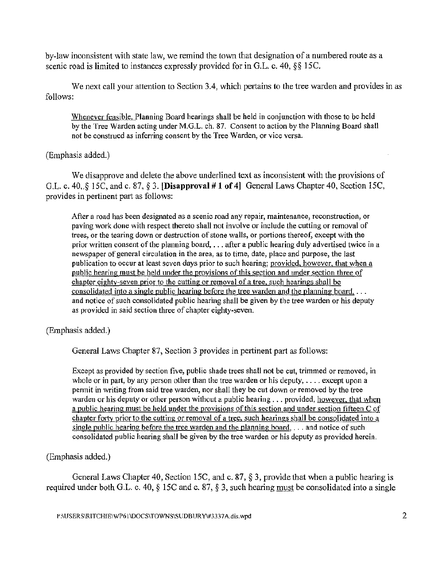by-law inconsistent with state law, we remind the town that designation of a numbered route as a scenic road is limited to instances expressly provided for in G.L. c.  $40$ ,  $\S$ § 15C.

We next call your attention to Section 3.4, which pertains to the tree warden and provides in as follows:

Whenever feasible. Planning Board hearings shall be held in conjunction with those to be held by the Tree Warden acting under M.G.L. ch. 87. Consent to action by the Planning Board shall not be construed as inferring consent by the Tree Warden, or vice versa.

### (Emphasis added.)

We disapprove and delete the above underlined text as inconsistent with the provisions of G.L. c. 40,.§ 15C, and c. 87, § 3. [Disapproval# I of 4] General Laws Chapter 40, Section 15C, provides in pertinent part as follows:

After a road has been designated as a scenic road any repair, maintenance, reconstruction, or paving work done with respect thereto shall not involve or include the cutting or removal of trees, or the tearing down or destruction of stone walls, or portions thereof, except with the prior written consent of the planning board, ... after a public hearing duly advertised twice in a newspaper of general circulation in the area, as to time, date, place and purpose, the last publication to occur at least seven days prior to such hearing; provided, however. that when a public hearing must be held under the provisions of this section and under section three of chapter eighty-seven prior to the cutting or removal of a tree. such hearings shall be consolidated into a single public hearing before the tree warden and the planning board,  $\dots$ and notice of such consolidated public hearing shall be given by the tree warden or his deputy as provided in said section three of chapter eighty-seven.

(Emphasis added.)

General Laws Chapter 87, Section 3 provides in pertinent part as follows:

Except as provided by section five, public shade trees shall not be cut, trimmed or removed, in whole or in part, by any person other than the tree warden or his deputy,  $\dots$  except upon a permit in writing from said tree warden, nor shall they be cut down or removed by the tree warden or his deputy or other person without a public hearing ... provided, however, that when a public hearing must be held under the provisions of this section and under section fifteen C of chapter forty prior to the cutting or removal of a tree. such hearings shall be consolidated into a single public hearing before the tree warden and the planning board,  $\dots$  and notice of such consolidated public hearing shall be given by the tree warden or his deputy as provided herein.

(Emphasis added.)

General Laws Chapter 40, Section 15C, and c. 87, § 3, provide that when a public hearing is required wider both G.L. c. 40, § 15C and c. 87, § 3, such hearing must be consolidated into a single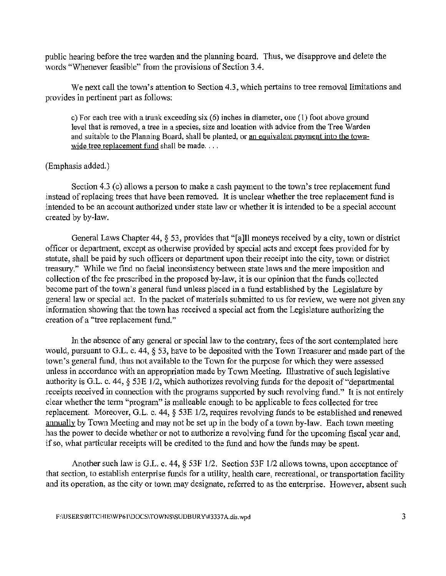public hearing before the tree warden and the planning board. Thus, we disapprove and delete the words "Whenever feasible" from the provisions of Section 3.4.

We next call the town's attention to Section 4.3, which pertains to tree removal limitations and provides in pertinent part as follows:

c) For each tree with a trunk exceeding six (6) inches **in** diameter, one (1) foot above ground level that is removed, a tree in a species, size and location with advice from the Tree Warden and suitable to the Planning Board, shall be planted, or an equivalent payment into the townwide tree replacement fund shall be made....

### (Emphasis added.)

Section 4.3 (c) allows a person to make a cash payment to the town's tree replacement fund instead of replacing trees that have been removed. It is unclear whether the tree replacement fund is intended to be an account authorized under state law or whether it is intended to be a special account created by by-law.

General Laws Chapter 44, § 53, provides that "[a]ll moneys received by a city, town or district officer or department, except as otherwise provided by special acts and except fees provided for by statute, shall be paid by such officers or department upon their receipt into the city, town or district treasury." While we find no facial inconsistency between state laws and the mere imposition and collection of the fee prescribed in.the proposed by-law, it is our opinion that the funds collected become part of the town's general fund unless placed in a fund established by the Legislature by general law or special act. In the packet of materials submitted to us for review, we were not given any information showing that the town has received a special act from the Legislature authorizing the creation of a "tree replacement fund."

In the absence of any general or special law to the contrary, fees of the sort contemplated here would, pursuant to G.L. c. 44,  $\S$  53, have to be deposited with the Town Treasurer and made part of the town's general fund, thus not available to the Town for the purpose for which they were assessed unless in accordance with an appropriation made by Town Meeting. Illustrative of such legislative authority is G.L. c. 44, § 53E 1/2, which authorizes revolving funds for the deposit of"departmental receipts received in connection with the programs supported by such revolving fund." It is not entirely clear whether the term "program" is malleable enough to be applicable to fees collected for tree replacement. Moreover, G.L. c. 44, § 53E 1/2, requires revolving funds to be established and renewed annually by Town Meeting and may not be set up in the body of a town by-law. Each town meeting has the power to decide whether or not to authorize a revolving fund for the upcoming fiscal year and, if so, what particular receipts will be credited to the fund and how the funds may be spent.

Another such law is G.L. c. 44, § 53F 1/2. Section 53F 1/2 allows towns, upon acceptance of that section, to establish enterprise funds for a utility, health care, recreational, or transportation facility and its operation, as the city or town may designate, referred to as the enterprise. However, absent such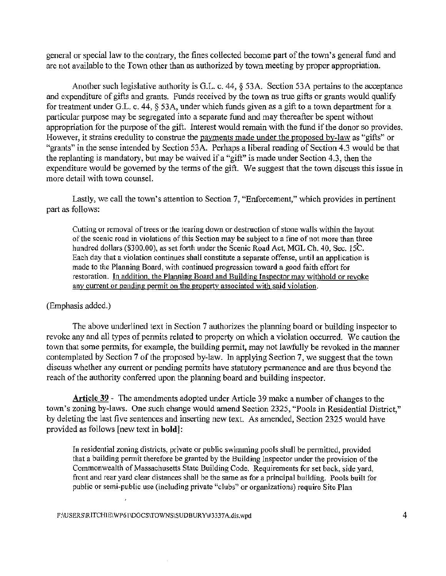general or special law to the contrary, the fines collected become part of the town's general fund and are not available to the Town other than as authorized by town meeting by proper appropriation.

Another such legislative authority is G.L. c. 44,  $\S$  53A. Section 53A pertains to the acceptance and expenditure of gifts and grants. Funds received by the town as true gifts or grants would qualify for treatment under G.L. c. 44, § 53A, under which funds given as a gift to a town department for a particular purpose may be segregated into a separate fund and may thereafter be spent without appropriation for the purpose of the gift. Interest would remain with the fund if the donor so provides. I-Iowever, it strains credulity to construe the payments made under the proposed by-law as "gifts" or "grants" in the sense intended by Section 53A. Perhaps a liberal reading of Section 4.3 would be that the replanting is mandatory, but inay be waived if a "gift" is made under Section 4.3, then the expenditure would be governed by the terms of the gift. We suggest that the town discuss this issue in more detail with town counsel.

Lastly, we call the town's attention to Section 7, "Enforcement," which provides in pertinent part as follows:

Cutting or removal of trees or the tearing down or destruction of stone walls within the layout of the scenic road in violations of this Section may be subject to a fine of not more than three hundred dollars (\$300.00), as set forth under the Scenic Road Act, MGL Ch. 40, Sec. 15C. Each day that a violation continues shall constitute a separate offense, until an application is 1nade to the Planning Board, with continued progression toward a good faith effort for restoration. In addition, the Planning Board and Building Inspector may withhold or revoke any current or pending permit on the property associated with said violation.

#### (Emphasis added.)

The above underlined text in Section 7 authorizes the planning board or building inspector to revoke any and all types of permits related to property on which a violation occurred. We caution the town that some permits, for example, the building permit, may not lawfully be revoked in the manner contemplated by Section 7 of the proposed by-law. In applying Section 7, we suggest that the town discuss whether any current or pending permits have statutory permanence and are thus beyond the reach of the authority conferred upon the planning board and building inspector.

Article 39 - The amendments adopted under Article 39 make a number of changes to the town's zoning by-laws. One such change would amend Section 2325, "Pools in Residential District," by deleting the last five sentences and inserting new text. As amended, Section 2325 would have provided as follows [new text in **bold]:** 

In residential zoning districts, private or public swimming pools shall be permitted, provided that a building permit therefore be granted by the Building Inspector under the provision of the Commonwealth of Massachusetts State Building Code. Requirements for set back, side yard, front and rear yard clear distances shall be the same as for a principal building. Pools built for public or semi.public use (including private "clubs" or organizations) require Site Plan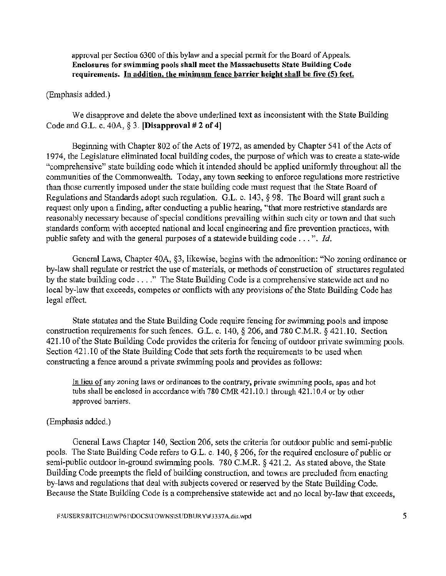approval per Section 6300 of this bylaw and a special permit for the Board of Appeals. Enclosures for s\vimming pools shall meet the Massachusetts State Building Code requirements. In addition, the minimum fence barrier height shall be five (5) feet.

#### (Emphasis added.)

We disapprove and delete the above underlined text as inconsistent with the State Building Code and G.L. c. 40A,  $\S$  3. [Disapproval # 2 of 4]

Beginning with Chapter 802 of the Acts of 1972, as amended by Chapter 541 of the Acts of 1974, the Legislature eliminated local building codes, the purpose of which was to create a state-wide "comprehensive" state building code which it intended should be applied uniformly throughout all the communities of the Commonwealth. Today, any town seeking to enforce regulations more restrictive than those currently imposed under the state building code must request that the State Board of Regulations and Standards adopt such regulation. G.L. c. 143, § 98. The Board will grant such a request only upon a finding, after conducting a public hearing, "that more restrictive standards are reasonably necessary because of special conditions prevailing within such city or town and that such standards conform with accepted national and local engineering and fire prevention practices, with public safety and with the general purposes of a statewide building code ... ". *Id.* 

General Laws, Chapter 40A, §3, likewise, begins with the admonition: "No zoning ordinance or by-law shall regulate or restrict the use of materials, or methods of construction of structures regulated by the state building code .... " The State Building Code is a comprehensive statewide act and no local by-law that exceeds, competes or conflicts with any provisions of the State Building Code has legal effect.

State statutes and the State Building Code require fencing for swimming pools and impose construction requirements for such fences. G.L. c. 140,  $\S 206$ , and 780 C.M.R.  $\S 421.10$ . Section 421.10 of the State Building Code provides the criteria for fencing of outdoor private swimming pools. Section 421.10 of the State Building Code that sets forth the requirements to be used when constructing a fence around a private swimming pools and provides as follows:

In lieu of any zoning laws or ordinances to the contrary, private swimming pools, spas and hot tubs shall be enclosed in accordance with  $780$  CMR  $421.10.1$  through  $421.10.4$  or by other approved barriers.

### (Emphasis added.)

General Laws Chapter 140, Section 206, sets the criteria for outdoor public and semi-public pools. The State Building Code refers to G.L. c. 140, § 206, for the required enclosure of public or semi-public outdoor in-ground swimming pools. 780 C.M.R. § 421.2. As stated above, the State Building Code preempts the field of building construction, and towns are precluded from enacting by-laws and regulations that deal with subjects covered or reserved by the State Building Code. Because the State Building Code is a comprehensive statewide act and no local by-law that exceeds,

F:\USERS\RITCHIE\WP61\DOCS\TOWNS\SUDBUR Y\#3337A.dis.wpd 5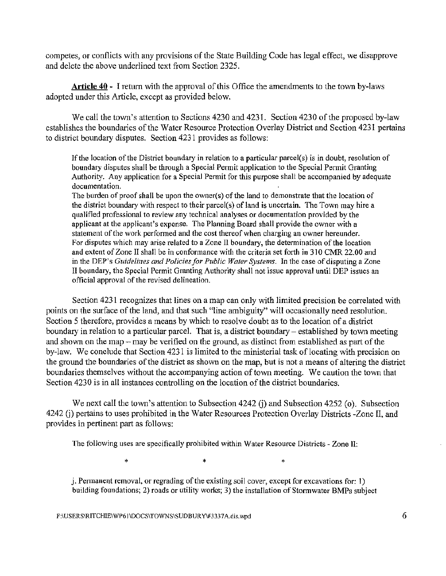competes, or conflicts with any provisions of the State Building Code has legal effect, we disapprove and delete the above underlined text from Section 2325.

**Article**  $40$  - I return with the approval of this Office the amendments to the town by-laws adopted under this Article, except as provided below.

We call the town's attention to Sections 4230 and 4231. Section 4230 of the proposed by-law establishes the boundaries of the Water Resource Protection Overlay District and Section 4231 pertains to district boundary disputes. Section 4231 provides as follows:

If the location of the District boundary in relation to a particular parcel(s) is in doubt, resolution of boundary disputes shall be through a Special Permit application to the Special Pennit Granting Authority. Any application for a Special Permit for this purpose shall be accompanied by adequate documentation.

The burden of proof shall be upon the owner(s) of the land to demonstrate that the location of the district boundary with respect to their parcel(s) of land is uncertain. The Town may hire a qualified professional to review any technical analyses or documentation provided by the applicant at the applicant's expense. The Planning Board shall provide the owner with a statement of the work performed and the cost thereof when charging an owner hereunder. For disputes which may arise related to a Zone II boundary, the determination of the location and extent of Zone II shall be in conformance with the criteria set forth in 310 CMR 22.00 and in the DEP's *Guidelines and Policies for Public Water Systems*. In the case of disputing a Zone II boundary, the Special Permit Granting Authority shall not issue approval until DEP issues an official approval of the revised delineation.

Section 4231 recognizes that lines on a map can only with limited precision be correlated with points on the surface of the land, and that such "line ambiguity" will occasionally need resolution. Section 5 therefore, provides a means by which to resolve doubt as to the location of a district boundary in relation to a particular parcel. That is, a district boundary- established by town meeting and shown on the map  $-$  may be verified on the ground, as distinct from established as part of the by-law. We conclude that Section 4231 is limited to the ministerial task of locating with precision on the ground the boundaries of the district as shown on the map, but is not a means of altering the district boundaries themselves without the accompanying action of town meeting. We caution the town that Section 4230 is in all instances controlling on the location of the district boundaries.

We next call the town's attention to Subsection 4242 (j) and Subsection 4252 (o). Subsection 4242 (j) pertains to uses prohibited in the Water Resources Protection Overlay Districts -Zone II, and provides in pertinent part as follows:

The following uses are specifically prohibited within Water Resource Districts - Zone II:

 $\ast$  '  $\ast$  '  $\ast$  '  $\ast$  '  $\ast$ 

 $j.$  Permanent removal, or regrading of the existing soil cover, except for excavations for: 1) building foundations; 2) roads or utility works; 3) the installation of Stormwater BMPs subject

 $F:\Upsilon\to F:\Upsilon$ : F:\USERS\RITCHIE\WP61\DOCS\TOWNS\SUDBURY\#3337A.dis.wpd 6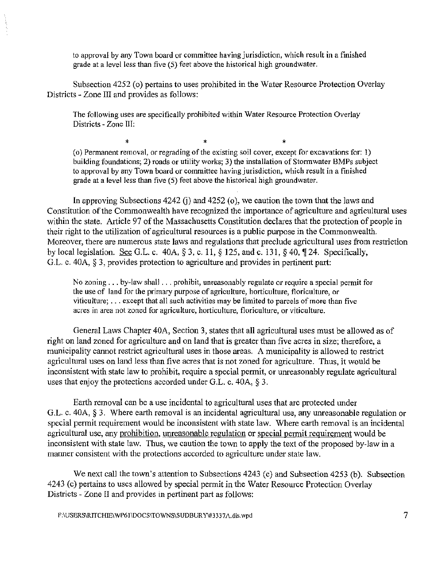to approval by any Town board or committee having jurisdiction, which result in a finished grade at a level less than five (5) feet above the historical high groundwater.

Subsection 4252 (o) pertains to uses prohibited in the Water Resource Protection Overlay Districts - Zone III and provides as follows:

The following uses are specifically prohibited within Water Resource Protection Overlay Districts - Zone III:

 $\ast$   $\ast$   $\ast$   $\ast$ (o) Permanent removal, or regrading of the existing soil cover, except for excavations for: 1) building foundations; 2) roads or utility works; 3) the installation of Stormwater BMPs subject to approval by any Town board or committee having jurisdiction, which result in a finished grade at a level less than five (5) feet above the historical high groundwater.

In approving Subsections 4242 G) and 4252 (o), we caution the town that the laws and Constitution of the Commonwealth have recognized the importance of agriculture and agricultural uses within the state. Article 97 of the Massachusetts Constitution declares that the protection of people in their right to the utilization of agricultural resources is a public purpose in the Commonwealth. Moreover, there are numerous state laws and regulations that preclude agricultural uses from restriction by local legislation. See G.L. c.  $40A$ ,  $\S 3$ , c. 11,  $\S 125$ , and c. 131,  $\S 40$ ,  $\P 24$ . Specifically, G.L. c. 40A,  $\S$  3, provides protection to agriculture and provides in pertinent part:

No zoning ... by-law shall ... prohibit, unreasonably regulate or require a special permit for the use of land for the primary purpose of agriculture, horticulture, floriculture, or viticulture;  $\dots$  except that all such activities may be limited to parcels of more than five acres in area not zoned for agriculture, horticulture, floriculture, or viticulture.

General Laws Chapter 40A, Section 3, states that all agricultural uses must be allowed as of right on land zoned for agriculture and on land that is greater than five acres in size; therefore, a municipality cannot restrict agricultural uses in those areas. A municipality is allowed to restrict agricultural uses on land less than five acres that is not zoned for agriculture. Thus, it would be inconsistent with state law to prohibit, require a special permit, or unreasonably regulate agricultural uses that enjoy the protections accorded under G.L. c.  $40A$ ,  $\S$  3.

Earth removal can be a use incidental to agricultural uses that are protected under G.L. c. 40A,  $\S$  3. Where earth removal is an incidental agricultural use, any unreasonable regulation or special permit requirement would be inconsistent with state law. Where earth removal is an incidental agricultural use, any prohibition, unreasonable regulation or special permit requirement would be inconsistent with state law. Thus, we caution the town to apply the text of the proposed by-law in a manner consistent with the protections accorded to agriculture under state law.

We next call the town's attention to Subsections 4243 (c) and Subsection 4253 (b). Subsection 4243 (c) pertains to uses allowed by special permit in the Water Resource Protection Overlay Districts - Zone II and provides in pertinent part as follows:

 $F:\Upsilon\to\Upsilon$ :\USERS\RITCHIE\\WP61\DOCS\TOWNS\SUDBURY\#3337A.dis.wpd 7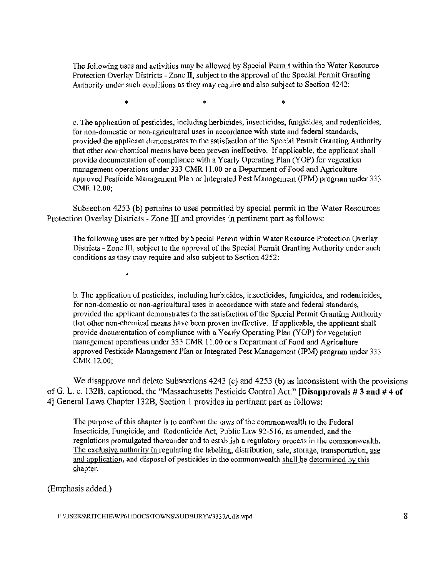The following uses and activities may be allowed by Special Permit within the Water Resource Protection Overlay Districts - Zone II, subject to the approval of the Special Permit Granting Authority under such conditions as they may require and also subject to Section 4242:

 $\ddot{\textbf{x}}$  '  $\ddot{\textbf{x}}$  '  $\ddot{\textbf{x}}$  '  $\ddot{\textbf{x}}$ 

c. The application of pesticides, including herbicides, insecticides, fungicides, and rodenticides, for non-domestic or non-agricultural uses in accordance with state and federal standards, provided the applicant demonstrates to the satisfaction of the Special Permit Granting Authority that other non-chemical means have been proven ineffective. If applicable, the applicant shall provide documentation of compliance with a Yearly Operating Plan (YOP) for vegetation management operations under 333 CMR 11.00 or a Department of Food and Agriculture approved Pesticide Management Plan or Integrated Pest Management (IPM) program under 333 CMR 12.00;

Subsection 4253 (b) pertains to uses permitted by special permit in the Water Resources Protection Overlay Districts - Zone III and provides in pertinent part as follows:

The following uses are permitted by Special Permit within Water Resource Protection Overlay Districts - Zone III, subject to the approval of the Special Permit Granting Authority under such conditions as they may require and also subject to Section 4252:

 $\ast$ 

b. The application of pesticides, including herbicides, insecticides, fungicides, and rodenticides, for non-domestic or non-agricultural uses in accordance with state and federal standards, provided the applicant demonstrates to the satisfaction of the Special Permit Granting Authority that other non-chemical means have been proven ineffective. If applicable, the applicant shall provide documentation of compliance with a Yearly Operating Plan (YOP) for vegetation management operations under 333 CMR 11.00 or a Department of Food and Agriculture approved Pesticide Management Plan or Integrated Pest Management (IPM) program under 333 CMR 12.00;

We disapprove and delete Subsections 4243 (c) and 4253 (b) as inconsistent with the provisions of G. L. c. 132B, captioned, the "Massachusetts Pesticide Control Act." [Disapprovals #3 and #4 of **4]** General Laws Chapter l32B, Section I provides in pertinent part as follows:

The purpose of this chapter is to conform the laws of the commonwealth to the Federal Insecticide, Fungicide, and Rodenticide Act, Public Law 92-516, as amended, and the regulations promulgated thereunder and to establish a regulatory process in the commonwealth. The exclusive authority in regulating the labeling, distribution, sale, storage, transportation, use and application, and disposal of pesticides in the commonwealth shall be determined by this chapter.

(Emphasis added.)

F:\USERS\RITCHIE\WP61\DOCS\TOWNS\SUDBURY\#3337A.dis.wpd 8